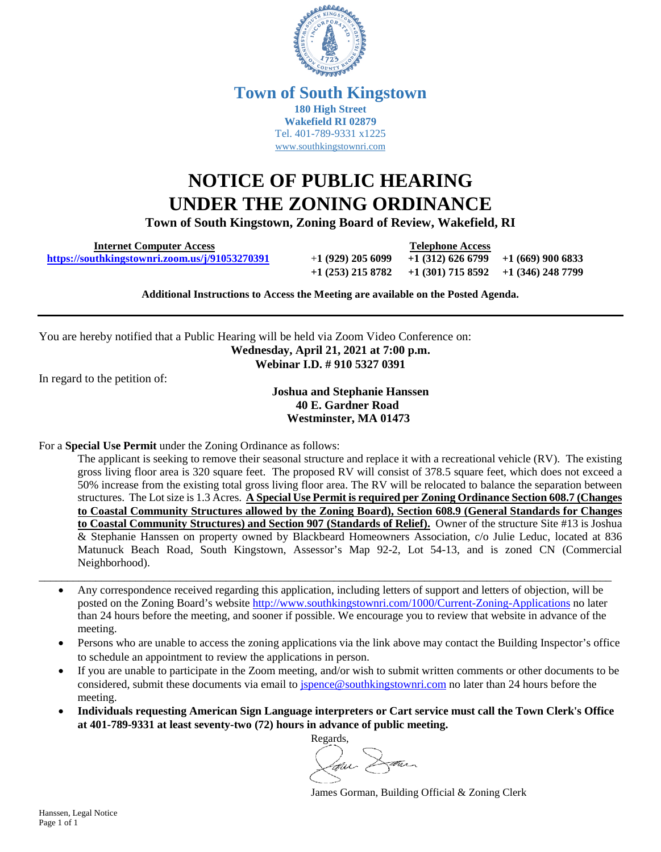

### **Town of South Kingstown 180 High Street Wakefield RI 02879** Tel. 401-789-9331 x1225 [www.southkingstownri.com](http://www.southkingstownri.com/)

# **NOTICE OF PUBLIC HEARING UNDER THE ZONING ORDINANCE**

**Town of South Kingstown, Zoning Board of Review, Wakefield, RI** 

 **Internet Computer Access Telephone Access <https://southkingstownri.zoom.us/j/91053270391>**+**1 (929) 205 6099 +1 (312) 626 6799 +1 (669) 900 6833**

**+1 (253) 215 8782 +1 (301) 715 8592 +1 (346) 248 7799** 

**Additional Instructions to Access the Meeting are available on the Posted Agenda.** 

You are hereby notified that a Public Hearing will be held via Zoom Video Conference on: **Wednesday, April 21, 2021 at 7:00 p.m. Webinar I.D. # 910 5327 0391** 

In regard to the petition of:

#### **Joshua and Stephanie Hanssen 40 E. Gardner Road Westminster, MA 01473**

For a **Special Use Permit** under the Zoning Ordinance as follows:

The applicant is seeking to remove their seasonal structure and replace it with a recreational vehicle (RV). The existing gross living floor area is 320 square feet. The proposed RV will consist of 378.5 square feet, which does not exceed a 50% increase from the existing total gross living floor area. The RV will be relocated to balance the separation between structures. The Lot size is 1.3 Acres. **A Special Use Permit is required per Zoning Ordinance Section 608.7 (Changes to Coastal Community Structures allowed by the Zoning Board), Section 608.9 (General Standards for Changes to Coastal Community Structures) and Section 907 (Standards of Relief).** Owner of the structure Site #13 is Joshua & Stephanie Hanssen on property owned by Blackbeard Homeowners Association, c/o Julie Leduc, located at 836 Matunuck Beach Road, South Kingstown, Assessor's Map 92-2, Lot 54-13, and is zoned CN (Commercial Neighborhood).

 Any correspondence received regarding this application, including letters of support and letters of objection, will be posted on the Zoning Board's website<http://www.southkingstownri.com/1000/Current-Zoning-Applications>no later than 24 hours before the meeting, and sooner if possible. We encourage you to review that website in advance of the meeting.

 $\Box \rightarrow \Box \rightarrow \Box$ 

- Persons who are unable to access the zoning applications via the link above may contact the Building Inspector's office to schedule an appointment to review the applications in person.
- If you are unable to participate in the Zoom meeting, and/or wish to submit written comments or other documents to be considered, submit these documents via email to [jspence@southkingstownri.com](mailto:jspence@southkingstownri.com) no later than 24 hours before the meeting.
- **Individuals requesting American Sign Language interpreters or Cart service must call the Town Clerk's Office at 401-789-9331 at least seventy-two (72) hours in advance of public meeting.**



James Gorman, Building Official & Zoning Clerk